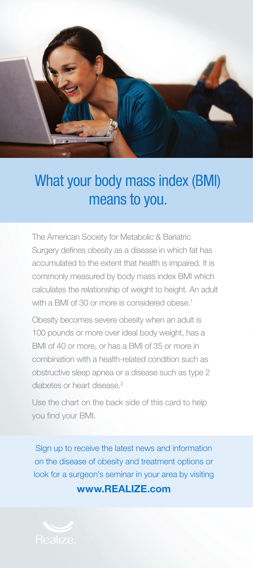

## What your body mass index (BMI) means to you.

The American Society for Metabolic & Bariatric Surgery defines obesity as a disease in which fat has accumulated to the extent that health is impaired. It is commonly measured by body mass index BMI which calculates the relationship of weight to height. An adult with a BMI of 30 or more is considered obese.<sup>1</sup>

Obesity becomes severe obesity when an adult is 100 pounds or more over ideal body weight, has a BMI of 40 or more, or has a BMI of 35 or more in combination with a health-related condition such as obstructive sleep apnea or a disease such as type 2 diabetes or heart disease.<sup>2</sup>

Use the chart on the back side of this card to help you find your BMI.

Sign up to receive the latest news and information on the disease of obesity and treatment options or look for a surgeon's seminar in your area by visiting

www.REALIZE.com